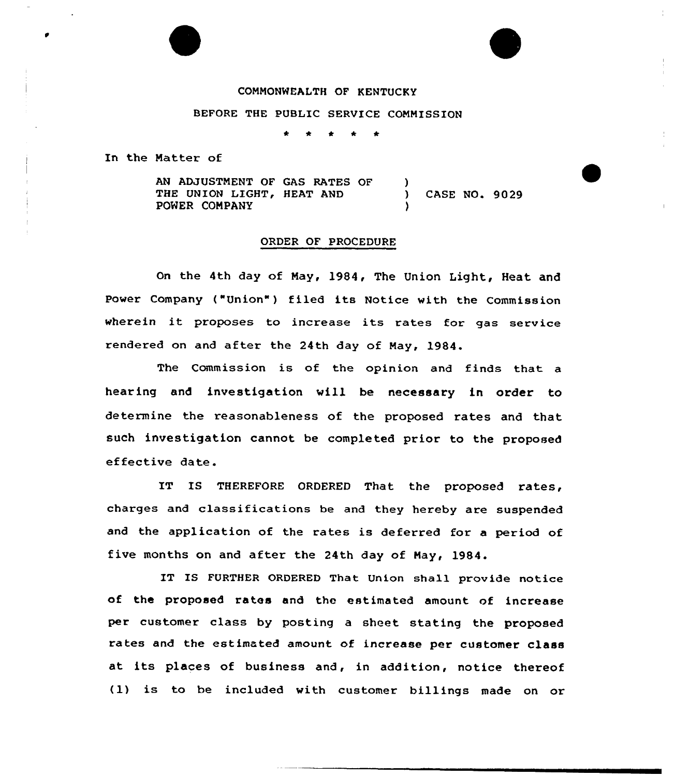## COMMONWEALTH OF KENTUCKY

## BEFORE THE PUBLIC SERUICE COMMISSION

\* <sup>+</sup> <sup>4</sup> \* \*

In the Matter of

AN ADJUSTMENT OF GAS RATES OF THE UNION LIGHT, HEAT AND PONER COMPANY  $\frac{1}{2}$ ) CASE NO. 9029 )

## ORDER OF PROCEDURE

On the 4th day of May, 1984, The Union Light, Heat and Power Company ("Union") filed its Notice with the Commission wherein it proposes to increase its rates for gas service rendered on and after the 24th day of May, 1984.

The Commission is of the opinion and finds that a hearing and investigation will be necessary in order to determine the reasonableness of the proposed rates and that such investigation cannot be completed prior to the proposed effective date.

IT IS THEREFORE ORDERED That the proposed rates, charges and classifications be and they hereby are suspended and the application of the rates is deferred for a period of five months on and after the 24th day of May, 1984.

IT IS FURTHER ORDERED That Union shall provide notice of the proposed rates and the estimated amount of increase per customer class by posting a sheet stating the proposed rates and the estimated amount of increase per customer class at its places of business and, in addition, notice thereof (1) is to be included with customer billings made on or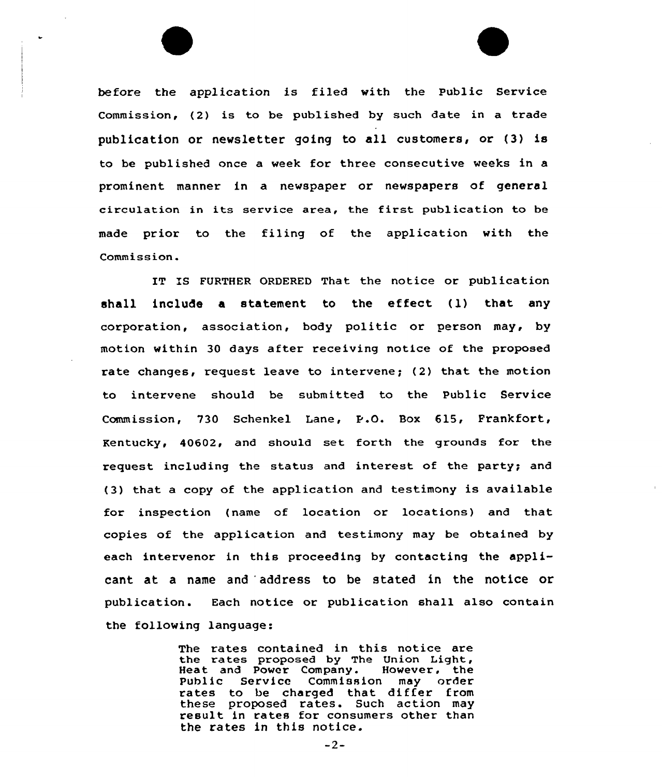before the application is filed with the Public Service Commission, (2) is to be published by such date in a trade publication or newsletter going to all customers, or (3) is to be published once a week for three consecutive weeks in a prominent manner in a newspaper or newspapers of general circulation in its service area, the first publication to be made prior to the filing of the application with the Commission.

IT IS FURTHER ORDERED That the notice or publication shall include <sup>a</sup> statement to the etfect (l) that any corporation, association, body politic or person may, by motion within 30 days after receiving notice of the proposed rate changes, request leave to intervene; (2) that the motion to intervene should be submitted to the Public Service Commission, 730 Schenkel Lane, P.O. Box 615, Frankfort, Rentucky, 40602, and should set forth the grounds for the request including the status and interest of the party; and (3) that a copy of the application and testimony is available for inspection (name of location or locations) and that copies of the application and testimony may be obtained by each intervenor in this proceeding by contacting the applicant at a name and 'address to be stated in the notice or publication. Each notice or publication shall also contain the following language:

> The rates contained in this notice are the rates proposed by The Union Light Heat and Power Company. However. the Public Service Commission may order rates to be charged that differ from<br>these proposed rates. Such action may result in rates for consumers other than the rates in this notice.

> > $-2-$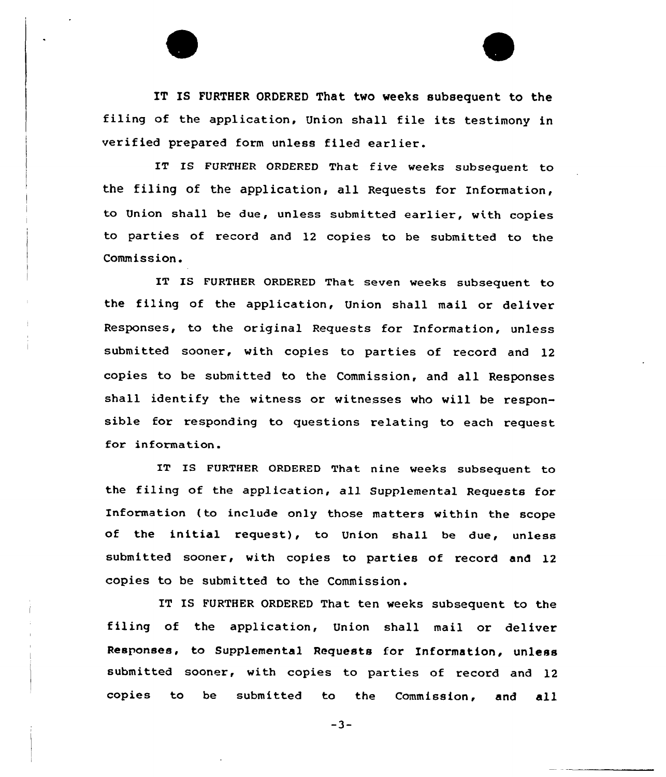IT IS FURTHER ORDERED That two weeks subsequent to the filing of the application, Union shall file its testimony in verified prepared form unless filed earlier.

IT IS FURTHER ORDERED That five veeks subsequent to the filing of the application, all Requests for Information, to Union shall be due, unless submitted earlier, vith copies to parties of record and 12 copies to be submitted to the Commission.

IT IS FURTHER ORDERED That seven weeks subsequent to the filing of the application, Union shall mail or deliver Responses, to the original Requests for Information, unless submitted sooner, vith copies to parties of record and 12 copies to be submitted to the Commission, and all Responses shall identify the witness or witnesses vho vill be responsible for responding to questions relating to each request for information.

IT IB FURTHER ORDERED That nine veeks subsequent to the filing of the application, all Supplemental Requests for Information (to include only those matters within the scope of the initial request), to Union shall be due, unless submitted sooner, vith copies to parties of record and 12 copies to be submitted to the Commission.

IT IS FURTHER ORDERED That ten weeks subsequent to the filing of the application, Union shall mail or deliver Responses, to Supplemental Requests for Information, unless submitted sooner, with copies to parties of record and 12 copies to be submitted to the Commission, and all

 $-3-$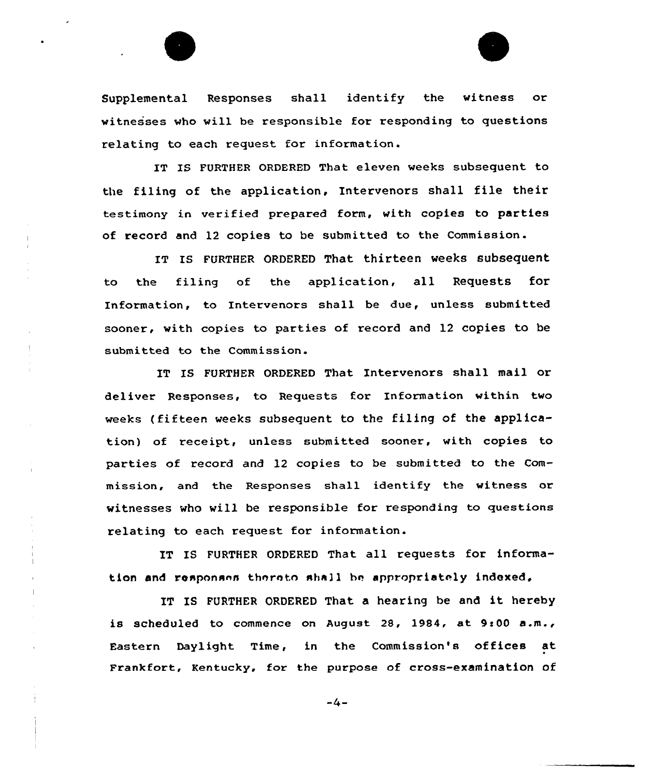

IT IS FURTHER ORDERED That eleven weeks subsequent to the filing of the application, Intervenors shall file their testimony in verified prepared form, with copies to parties of record and 12 copies to be submitted to the Commission.

IT IS FURTHER ORDERED That thirteen weeks subsequent to the filing of the application, all Requests for Information, to Intervenors shall be due, unless submitted sooner, with copies to parties of record and 12 copies to be submitted to the Commission.

IT IS FURTHER ORDERED That Intervenors shall mail or de <sup>1</sup>iver Responses, to Reque sts for Information within two weeks (fifteen weeks subsequent to the filing of the application) of receipt, unless submitted sooner, with copies to parties of record and 12 copies to be submitted to the Commission, and the Responses shall identify the witness or witnesses who will be responsible for responding to questions relating to each request for information.

IT IS FURTHER ORDERED That all requests for information and responses thereto shall be appropriately indexed.

IT IS FURTHER ORDERED That <sup>a</sup> hearing be and it hereby is scheduled to commence on August 28, 1984, at  $9:00$  a.m., Eastern Daylight Time, in the Commission's offices at Frankfort, Kentucky, for the purpose of cross-examination of

 $-4-$